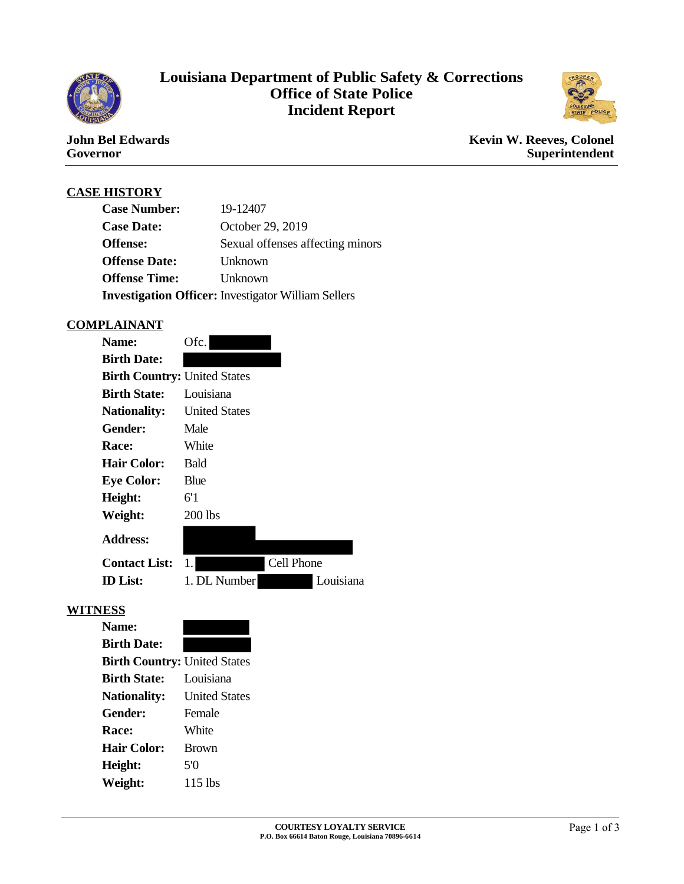

# **Louisiana Department of Public Safety & Corrections Office of State Police Incident Report**



### **John Bel Edwards Governor**

**Kevin W. Reeves, Colonel Superintendent**

# **CASE HISTORY**

| 19-12407<br><b>Case Number:</b>                            |                                  |  |  |
|------------------------------------------------------------|----------------------------------|--|--|
| <b>Case Date:</b>                                          | October 29, 2019                 |  |  |
| Offense:                                                   | Sexual offenses affecting minors |  |  |
| <b>Offense Date:</b>                                       | Unknown                          |  |  |
| <b>Offense Time:</b>                                       | Unknown                          |  |  |
| <b>Investigation Officer:</b> Investigator William Sellers |                                  |  |  |

### **COMPLAINANT**

| <b>Name:</b>                        | Ofc.                 |            |  |  |
|-------------------------------------|----------------------|------------|--|--|
| <b>Birth Date:</b>                  |                      |            |  |  |
| <b>Birth Country: United States</b> |                      |            |  |  |
| Birth State:                        | Louisiana            |            |  |  |
| <b>Nationality:</b>                 | <b>United States</b> |            |  |  |
| Gender:                             | Male                 |            |  |  |
| Race:                               | White                |            |  |  |
| <b>Hair Color:</b>                  | <b>Bald</b>          |            |  |  |
| <b>Eye Color:</b>                   | Blue                 |            |  |  |
| Height:                             | 6'1                  |            |  |  |
| Weight:                             | 200 lbs              |            |  |  |
| <b>Address:</b>                     |                      |            |  |  |
| <b>Contact List:</b>                |                      | Cell Phone |  |  |
| <b>ID</b> List:                     | 1. DL Number         | Louisiana  |  |  |

#### **WITNESS**

| <b>Birth Country: United States</b> |
|-------------------------------------|
| Louisiana                           |
| <b>United States</b>                |
| Female                              |
| White                               |
| <b>Brown</b>                        |
| 50                                  |
| $115$ lbs                           |
|                                     |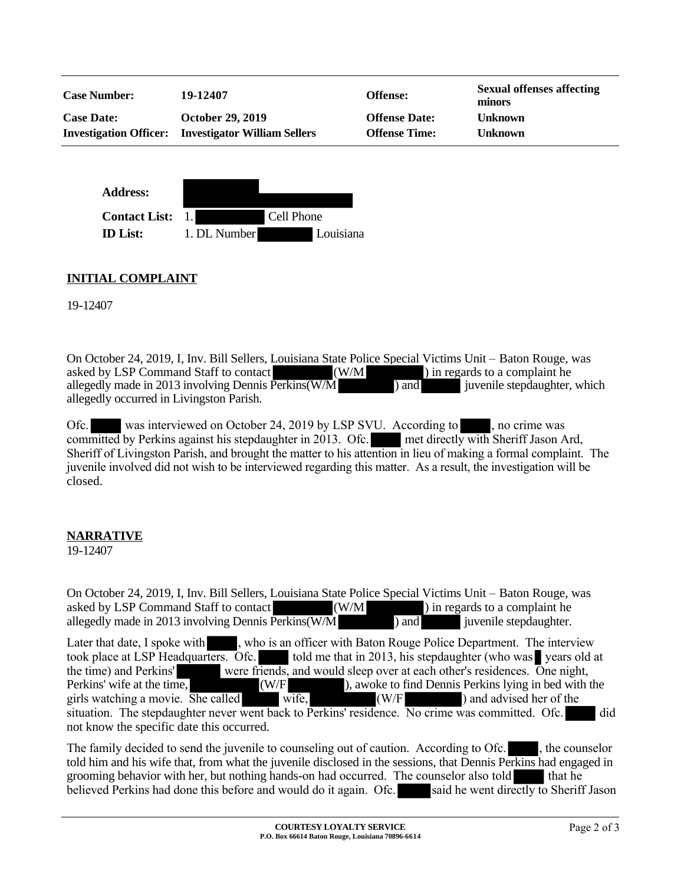| <b>Case Number:</b>           | 19-12407                            | <b>Offense:</b>      | <b>Sexual offenses affecting</b><br>minors |
|-------------------------------|-------------------------------------|----------------------|--------------------------------------------|
| <b>Case Date:</b>             | <b>October 29, 2019</b>             | <b>Offense Date:</b> | <b>Unknown</b>                             |
| <b>Investigation Officer:</b> | <b>Investigator William Sellers</b> | <b>Offense Time:</b> | <b>Unknown</b>                             |
|                               |                                     |                      |                                            |



# **INITIAL COMPLAINT**

19-12407

On October 24, 2019, I, Inv. Bill Sellers, Louisiana State Police Special Victims Unit – Baton Rouge, was asked by LSP Command Staff to contact (W/M ) in regards to a complaint he allegedly made in 2013 involving Dennis Perkins(W/M ) and juvenile stepdaughter, which allegedly occurred in Livingston Parish.

Ofc. was interviewed on October 24, 2019 by LSP SVU. According to , no crime was committed by Perkins against his stepdaughter in 2013. Ofc. met directly with Sheriff Jason Ard, Sheriff of Livingston Parish, and brought the matter to his attention in lieu of making a formal complaint. The juvenile involved did not wish to be interviewed regarding this matter. As a result, the investigation will be closed.

## **NARRATIVE**

19-12407

On October 24, 2019, I, Inv. Bill Sellers, Louisiana State Police Special Victims Unit – Baton Rouge, was asked by LSP Command Staff to contact (W/M ) in regards to a complaint he asked by LSP Command Staff to contact (W/M ) in regards to a complaint he allegedly made in 2013 involving Dennis Perkins(W/M ) and allegedly made in 2013 involving Dennis Perkins $(W/M$ ) and Later that date, I spoke with , who is an officer with Baton Rouge Police Department. The interview took place at LSP Headquarters. Ofc. took place at LSP Headquarters. Ofc. told me that in 2013, his stepdaughter (who was vears old at the time) and Perkins' were friends, and would sleep over at each other's residences. One night. were friends, and would sleep over at each other's residences. One night, Perkins' wife at the time, (W/F ), awoke to find Dennis Perkins lying in bed with the girls watching a movie. She called wife,  $\overline{w}$  (W/F ) and advised her of the situation. The stepdaughter never went back to Perkins' residence. No crime was committed. Ofc. did not know the specific date this occurred.

The family decided to send the juvenile to counseling out of caution. According to Ofc. , the counselor told him and his wife that, from what the juvenile disclosed in the sessions, that Dennis Perkins had engaged in grooming behavior with her, but nothing hands-on had occurred. The counselor also told that he believed Perkins had done this before and would do it again. Ofc. said he went directly to Sheriff Jason